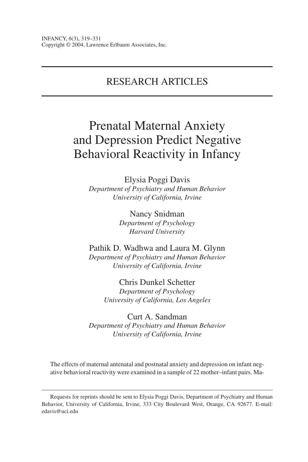# RESEARCH ARTICLES

# Prenatal Maternal Anxiety and Depression Predict Negative Behavioral Reactivity in Infancy

Elysia Poggi Davis *Department of Psychiatry and Human Behavior University of California, Irvine*

> Nancy Snidman *Department of Psychology Harvard University*

Pathik D. Wadhwa and Laura M. Glynn *Department of Psychiatry and Human Behavior University of California, Irvine*

> Chris Dunkel Schetter *Department of Psychology University of California, Los Angeles*

Curt A. Sandman *Department of Psychiatry and Human Behavior University of California, Irvine*

The effects of maternal antenatal and postnatal anxiety and depression on infant negative behavioral reactivity were examined in a sample of 22 mother–infant pairs. Ma-

Requests for reprints should be sent to Elysia Poggi Davis, Department of Psychiatry and Human Behavior, University of California, Irvine, 333 City Boulevard West, Orange, CA 92677. E-mail: edavis@uci.edu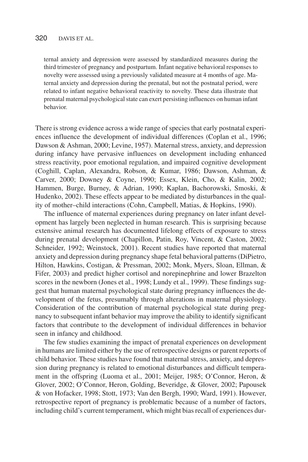ternal anxiety and depression were assessed by standardized measures during the third trimester of pregnancy and postpartum. Infant negative behavioral responses to novelty were assessed using a previously validated measure at 4 months of age. Maternal anxiety and depression during the prenatal, but not the postnatal period, were related to infant negative behavioral reactivity to novelty. These data illustrate that prenatal maternal psychological state can exert persisting influences on human infant behavior.

There is strong evidence across a wide range of species that early postnatal experiences influence the development of individual differences (Coplan et al., 1996; Dawson & Ashman, 2000; Levine, 1957). Maternal stress, anxiety, and depression during infancy have pervasive influences on development including enhanced stress reactivity, poor emotional regulation, and impaired cognitive development (Coghill, Caplan, Alexandra, Robson, & Kumar, 1986; Dawson, Ashman, & Carver, 2000; Downey & Coyne, 1990; Essex, Klein, Cho, & Kalin, 2002; Hammen, Burge, Burney, & Adrian, 1990; Kaplan, Bachorowski, Smoski, & Hudenko, 2002). These effects appear to be mediated by disturbances in the quality of mother–child interactions (Cohn, Campbell, Matias, & Hopkins, 1990).

The influence of maternal experiences during pregnancy on later infant development has largely been neglected in human research. This is surprising because extensive animal research has documented lifelong effects of exposure to stress during prenatal development (Chapillon, Patin, Roy, Vincent, & Caston, 2002; Schneider, 1992; Weinstock, 2001). Recent studies have reported that maternal anxiety and depression during pregnancy shape fetal behavioral patterns (DiPietro, Hilton, Hawkins, Costigan, & Pressman, 2002; Monk, Myers, Sloan, Ellman, & Fifer, 2003) and predict higher cortisol and norepinephrine and lower Brazelton scores in the newborn (Jones et al., 1998; Lundy et al., 1999). These findings suggest that human maternal psychological state during pregnancy influences the development of the fetus, presumably through alterations in maternal physiology. Consideration of the contribution of maternal psychological state during pregnancy to subsequent infant behavior may improve the ability to identify significant factors that contribute to the development of individual differences in behavior seen in infancy and childhood.

The few studies examining the impact of prenatal experiences on development in humans are limited either by the use of retrospective designs or parent reports of child behavior. These studies have found that maternal stress, anxiety, and depression during pregnancy is related to emotional disturbances and difficult temperament in the offspring (Luoma et al., 2001; Meijer, 1985; O'Connor, Heron, & Glover, 2002; O'Connor, Heron, Golding, Beveridge, & Glover, 2002; Papousek & von Hofacker, 1998; Stott, 1973; Van den Bergh, 1990; Ward, 1991). However, retrospective report of pregnancy is problematic because of a number of factors, including child's current temperament, which might bias recall of experiences dur-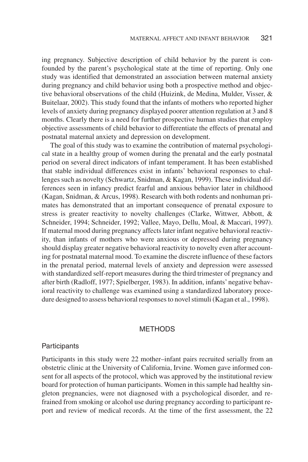ing pregnancy. Subjective description of child behavior by the parent is confounded by the parent's psychological state at the time of reporting. Only one study was identified that demonstrated an association between maternal anxiety during pregnancy and child behavior using both a prospective method and objective behavioral observations of the child (Huizink, de Medina, Mulder, Visser, & Buitelaar, 2002). This study found that the infants of mothers who reported higher levels of anxiety during pregnancy displayed poorer attention regulation at 3 and 8 months. Clearly there is a need for further prospective human studies that employ objective assessments of child behavior to differentiate the effects of prenatal and postnatal maternal anxiety and depression on development.

The goal of this study was to examine the contribution of maternal psychological state in a healthy group of women during the prenatal and the early postnatal period on several direct indicators of infant temperament. It has been established that stable individual differences exist in infants' behavioral responses to challenges such as novelty (Schwartz, Snidman, & Kagan, 1999). These individual differences seen in infancy predict fearful and anxious behavior later in childhood (Kagan, Snidman, & Arcus, 1998). Research with both rodents and nonhuman primates has demonstrated that an important consequence of prenatal exposure to stress is greater reactivity to novelty challenges (Clarke, Wittwer, Abbott, & Schneider, 1994; Schneider, 1992; Vallee, Mayo, Dellu, Moal, & Maccari, 1997). If maternal mood during pregnancy affects later infant negative behavioral reactivity, than infants of mothers who were anxious or depressed during pregnancy should display greater negative behavioral reactivity to novelty even after accounting for postnatal maternal mood. To examine the discrete influence of these factors in the prenatal period, maternal levels of anxiety and depression were assessed with standardized self-report measures during the third trimester of pregnancy and after birth (Radloff, 1977; Spielberger, 1983). In addition, infants' negative behavioral reactivity to challenge was examined using a standardized laboratory procedure designed to assess behavioral responses to novel stimuli (Kagan et al., 1998).

# **METHODS**

#### **Participants**

Participants in this study were 22 mother–infant pairs recruited serially from an obstetric clinic at the University of California, Irvine. Women gave informed consent for all aspects of the protocol, which was approved by the institutional review board for protection of human participants. Women in this sample had healthy singleton pregnancies, were not diagnosed with a psychological disorder, and refrained from smoking or alcohol use during pregnancy according to participant report and review of medical records. At the time of the first assessment, the 22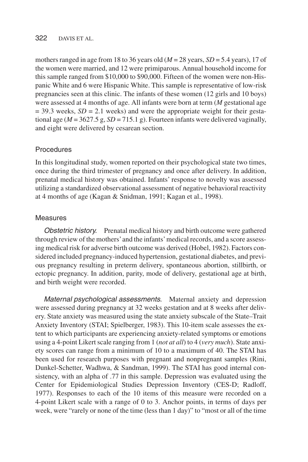#### 322 DAVIS ET AL.

mothers ranged in age from 18 to 36 years old  $(M = 28$  years,  $SD = 5.4$  years), 17 of the women were married, and 12 were primiparous. Annual household income for this sample ranged from \$10,000 to \$90,000. Fifteen of the women were non-Hispanic White and 6 were Hispanic White. This sample is representative of low-risk pregnancies seen at this clinic. The infants of these women (12 girls and 10 boys) were assessed at 4 months of age. All infants were born at term (*M* gestational age  $=$  39.3 weeks,  $SD = 2.1$  weeks) and were the appropriate weight for their gestational age ( $M = 3627.5$  g,  $SD = 715.1$  g). Fourteen infants were delivered vaginally, and eight were delivered by cesarean section.

## Procedures

In this longitudinal study, women reported on their psychological state two times, once during the third trimester of pregnancy and once after delivery. In addition, prenatal medical history was obtained. Infants' response to novelty was assessed utilizing a standardized observational assessment of negative behavioral reactivity at 4 months of age (Kagan & Snidman, 1991; Kagan et al., 1998).

## Measures

Obstetric history. Prenatal medical history and birth outcome were gathered through review of the mothers'and the infants'medical records, and a score assessing medical risk for adverse birth outcome was derived (Hobel, 1982). Factors considered included pregnancy-induced hypertension, gestational diabetes, and previous pregnancy resulting in preterm delivery, spontaneous abortion, stillbirth, or ectopic pregnancy. In addition, parity, mode of delivery, gestational age at birth, and birth weight were recorded.

Maternal psychological assessments. Maternal anxiety and depression were assessed during pregnancy at 32 weeks gestation and at 8 weeks after delivery. State anxiety was measured using the state anxiety subscale of the State–Trait Anxiety Inventory (STAI; Spielberger, 1983). This 10-item scale assesses the extent to which participants are experiencing anxiety-related symptoms or emotions using a 4-point Likert scale ranging from 1 (*not at all*) to 4 (*very much*). State anxiety scores can range from a minimum of 10 to a maximum of 40. The STAI has been used for research purposes with pregnant and nonpregnant samples (Rini, Dunkel-Schetter, Wadhwa, & Sandman, 1999). The STAI has good internal consistency, with an alpha of .77 in this sample. Depression was evaluated using the Center for Epidemiological Studies Depression Inventory (CES-D; Radloff, 1977). Responses to each of the 10 items of this measure were recorded on a 4-point Likert scale with a range of 0 to 3. Anchor points, in terms of days per week, were "rarely or none of the time (less than 1 day)" to "most or all of the time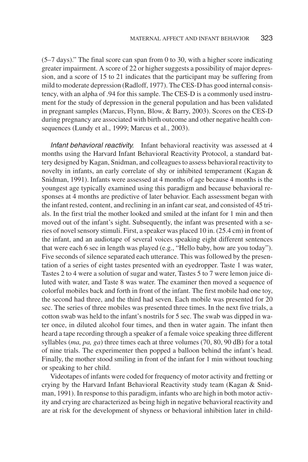(5–7 days)." The final score can span from 0 to 30, with a higher score indicating greater impairment. A score of 22 or higher suggests a possibility of major depression, and a score of 15 to 21 indicates that the participant may be suffering from mild to moderate depression (Radloff, 1977). The CES-D has good internal consistency, with an alpha of .94 for this sample. The CES-D is a commonly used instrument for the study of depression in the general population and has been validated in pregnant samples (Marcus, Flynn, Blow, & Barry, 2003). Scores on the CES-D during pregnancy are associated with birth outcome and other negative health consequences (Lundy et al., 1999; Marcus et al., 2003).

Infant behavioral reactivity. Infant behavioral reactivity was assessed at 4 months using the Harvard Infant Behavioral Reactivity Protocol, a standard battery designed by Kagan, Snidman, and colleagues to assess behavioral reactivity to novelty in infants, an early correlate of shy or inhibited temperament (Kagan & Snidman, 1991). Infants were assessed at 4 months of age because 4 months is the youngest age typically examined using this paradigm and because behavioral responses at 4 months are predictive of later behavior. Each assessment began with the infant rested, content, and reclining in an infant car seat, and consisted of 45 trials. In the first trial the mother looked and smiled at the infant for 1 min and then moved out of the infant's sight. Subsequently, the infant was presented with a series of novel sensory stimuli. First, a speaker was placed 10 in. (25.4 cm) in front of the infant, and an audiotape of several voices speaking eight different sentences that were each 6 sec in length was played (e.g., "Hello baby, how are you today"). Five seconds of silence separated each utterance. This was followed by the presentation of a series of eight tastes presented with an eyedropper. Taste 1 was water, Tastes 2 to 4 were a solution of sugar and water, Tastes 5 to 7 were lemon juice diluted with water, and Taste 8 was water. The examiner then moved a sequence of colorful mobiles back and forth in front of the infant. The first mobile had one toy, the second had three, and the third had seven. Each mobile was presented for 20 sec. The series of three mobiles was presented three times. In the next five trials, a cotton swab was held to the infant's nostrils for 5 sec. The swab was dipped in water once, in diluted alcohol four times, and then in water again. The infant then heard a tape recording through a speaker of a female voice speaking three different syllables (*ma, pa, ga*) three times each at three volumes (70, 80, 90 dB) for a total of nine trials. The experimenter then popped a balloon behind the infant's head. Finally, the mother stood smiling in front of the infant for 1 min without touching or speaking to her child.

Videotapes of infants were coded for frequency of motor activity and fretting or crying by the Harvard Infant Behavioral Reactivity study team (Kagan & Snidman, 1991). In response to this paradigm, infants who are high in both motor activity and crying are characterized as being high in negative behavioral reactivity and are at risk for the development of shyness or behavioral inhibition later in child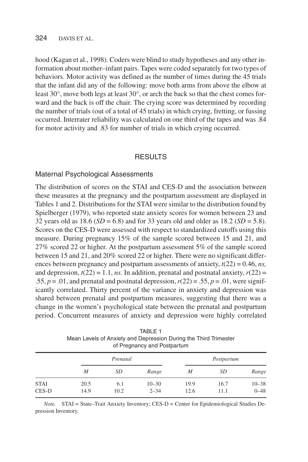hood (Kagan et al., 1998). Coders were blind to study hypotheses and any other information about mother–infant pairs. Tapes were coded separately for two types of behaviors. Motor activity was defined as the number of times during the 45 trials that the infant did any of the following: move both arms from above the elbow at least 30°, move both legs at least 30°, or arch the back so that the chest comes forward and the back is off the chair. The crying score was determined by recording the number of trials (out of a total of 45 trials) in which crying, fretting, or fussing occurred. Interrater reliability was calculated on one third of the tapes and was .84 for motor activity and .83 for number of trials in which crying occurred.

#### RESULTS

#### Maternal Psychological Assessments

The distribution of scores on the STAI and CES-D and the association between these measures at the pregnancy and the postpartum assessment are displayed in Tables 1 and 2. Distributions for the STAI were similar to the distribution found by Spielberger (1979), who reported state anxiety scores for women between 23 and 32 years old as 18.6 (*SD* = 6.8) and for 33 years old and older as 18.2 (*SD* = 5.8). Scores on the CES-D were assessed with respect to standardized cutoffs using this measure. During pregnancy 15% of the sample scored between 15 and 21, and 27% scored 22 or higher. At the postpartum assessment 5% of the sample scored between 15 and 21, and 20% scored 22 or higher. There were no significant differences between pregnancy and postpartum assessments of anxiety, *t*(22) = 0.46, *ns,* and depression,  $t(22) = 1.1$ , *ns.* In addition, prenatal and postnatal anxiety,  $r(22) =$ .55,  $p = .01$ , and prenatal and postnatal depression,  $r(22) = .55$ ,  $p = .01$ , were significantly correlated. Thirty percent of the variance in anxiety and depression was shared between prenatal and postpartum measures, suggesting that there was a change in the women's psychological state between the prenatal and postpartum period. Concurrent measures of anxiety and depression were highly correlated

|                      | of Pregnancy and Postpartum |             |                       |              |              |                       |
|----------------------|-----------------------------|-------------|-----------------------|--------------|--------------|-----------------------|
|                      | Prenatal                    |             |                       | Postpartum   |              |                       |
|                      | M                           | SD          | Range                 | M            | SD           | Range                 |
| <b>STAI</b><br>CES-D | 20.5<br>14.9                | 6.1<br>10.2 | $10 - 30$<br>$2 - 34$ | 19.9<br>12.6 | 16.7<br>11.1 | $10 - 38$<br>$0 - 48$ |

TABLE 1 Mean Levels of Anxiety and Depression During the Third Trimester

*Note.* STAI = State–Trait Anxiety Inventory; CES-D = Center for Epidemiological Studies Depression Inventory.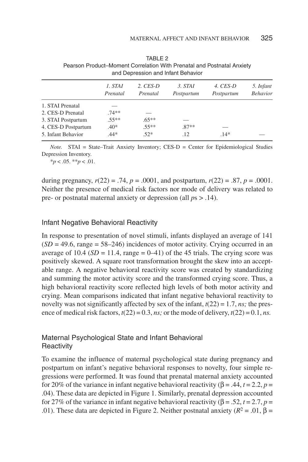|                     | 1. STAI<br>Prenatal | $2.$ CES-D<br>Prenatal | 3. STAI<br>Postpartum | 4. CES-D<br>Postpartum | 5. Infant<br><b>Behavior</b> |
|---------------------|---------------------|------------------------|-----------------------|------------------------|------------------------------|
| 1. STAI Prenatal    |                     |                        |                       |                        |                              |
| 2. CES-D Prenatal   | $.74**$             |                        |                       |                        |                              |
| 3. STAI Postpartum  | $.55**$             | $.65***$               |                       |                        |                              |
| 4. CES-D Postpartum | $.40*$              | $.55**$                | $.87**$               |                        |                              |
| 5. Infant Behavior  | $.44*$              | $.52*$                 | .12                   | $.14*$                 |                              |

TABLE 2 Pearson Product–Moment Correlation With Prenatal and Postnatal Anxiety and Depression and Infant Behavior

*Note.* STAI = State–Trait Anxiety Inventory; CES-D = Center for Epidemiological Studies Depression Inventory.

\**p* < .05. \*\**p* < .01.

during pregnancy,  $r(22) = .74$ ,  $p = .0001$ , and postpartum,  $r(22) = .87$ ,  $p = .0001$ . Neither the presence of medical risk factors nor mode of delivery was related to pre- or postnatal maternal anxiety or depression (all *p*s > .14).

#### Infant Negative Behavioral Reactivity

In response to presentation of novel stimuli, infants displayed an average of 141  $(SD = 49.6$ , range  $= 58-246$ ) incidences of motor activity. Crying occurred in an average of 10.4  $(SD = 11.4$ , range  $= 0.41$ ) of the 45 trials. The crying score was positively skewed. A square root transformation brought the skew into an acceptable range. A negative behavioral reactivity score was created by standardizing and summing the motor activity score and the transformed crying score. Thus, a high behavioral reactivity score reflected high levels of both motor activity and crying. Mean comparisons indicated that infant negative behavioral reactivity to novelty was not significantly affected by sex of the infant,  $t(22) = 1.7$ , *ns*; the presence of medical risk factors,  $t(22) = 0.3$ , *ns*; or the mode of delivery,  $t(22) = 0.1$ , *ns*.

# Maternal Psychological State and Infant Behavioral **Reactivity**

To examine the influence of maternal psychological state during pregnancy and postpartum on infant's negative behavioral responses to novelty, four simple regressions were performed. It was found that prenatal maternal anxiety accounted for 20% of the variance in infant negative behavioral reactivity  $(\beta = .44, t = 2.2, p =$ .04). These data are depicted in Figure 1. Similarly, prenatal depression accounted for 27% of the variance in infant negative behavioral reactivity (β = .52, *t* = 2.7, *p* = .01). These data are depicted in Figure 2. Neither postnatal anxiety ( $R^2 = .01$ ,  $β =$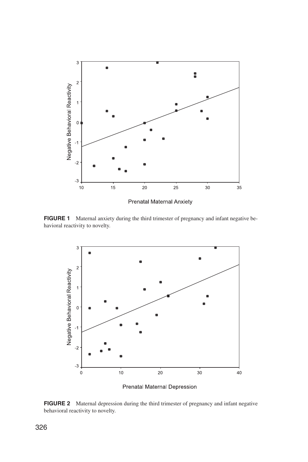

Prenatal Maternal Anxiety

**FIGURE 1** Maternal anxiety during the third trimester of pregnancy and infant negative behavioral reactivity to novelty.



Prenatal Maternal Depression

**FIGURE 2** Maternal depression during the third trimester of pregnancy and infant negative behavioral reactivity to novelty.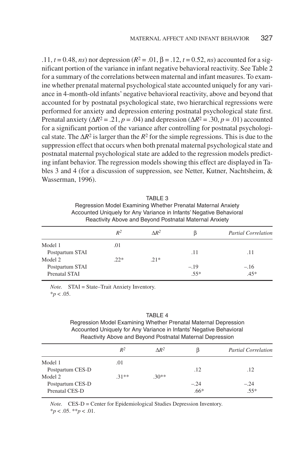.11,  $t = 0.48$ , *ns*) nor depression ( $R^2 = .01$ ,  $β = .12$ ,  $t = 0.52$ , *ns*) accounted for a significant portion of the variance in infant negative behavioral reactivity. See Table 2 for a summary of the correlations between maternal and infant measures. To examine whether prenatal maternal psychological state accounted uniquely for any variance in 4-month-old infants' negative behavioral reactivity, above and beyond that accounted for by postnatal psychological state, two hierarchical regressions were performed for anxiety and depression entering postnatal psychological state first. Prenatal anxiety ( $\Delta R^2 = .21$ , *p* = .04) and depression ( $\Delta R^2 = .30$ , *p* = .01) accounted for a significant portion of the variance after controlling for postnatal psychological state. The ∆*R*<sup>2</sup> is larger than the *R*<sup>2</sup> for the simple regressions. This is due to the suppression effect that occurs when both prenatal maternal psychological state and postnatal maternal psychological state are added to the regression models predicting infant behavior. The regression models showing this effect are displayed in Tables 3 and 4 (for a discussion of suppression, see Netter, Kutner, Nachtsheim, & Wasserman, 1996).

| TABLE 3                                                             |
|---------------------------------------------------------------------|
| Regression Model Examining Whether Prenatal Maternal Anxiety        |
| Accounted Uniquely for Any Variance in Infants' Negative Behavioral |
| Reactivity Above and Beyond Postnatal Maternal Anxiety              |

|                 | $R^2$ | $\Delta R^2$ |        | <b>Partial Correlation</b> |
|-----------------|-------|--------------|--------|----------------------------|
| Model 1         | .01   |              |        |                            |
| Postpartum STAI |       |              | .11    | .11                        |
| Model 2         | $22*$ | $21*$        |        |                            |
| Postpartum STAI |       |              | $-.19$ | $-.16$                     |
| Prenatal STAI   |       |              | $.55*$ | $.45*$                     |

*Note.* STAI = State–Trait Anxiety Inventory.  $*_{p}$  < .05.

TABLE 4 Regression Model Examining Whether Prenatal Maternal Depression Accounted Uniquely for Any Variance in Infants' Negative Behavioral Reactivity Above and Beyond Postnatal Maternal Depression

|                  | $R^2$   | $\Delta R^2$ | ß      | <b>Partial Correlation</b> |
|------------------|---------|--------------|--------|----------------------------|
| Model 1          | .01     |              |        |                            |
| Postpartum CES-D |         |              | .12    | .12                        |
| Model 2          | $31***$ | $.30**$      |        |                            |
| Postpartum CES-D |         |              | $-.24$ | $-.24$                     |
| Prenatal CES-D   |         |              | $.66*$ | $.55*$                     |

*Note.* CES-D = Center for Epidemiological Studies Depression Inventory.

\**p* < .05. \*\**p* < .01.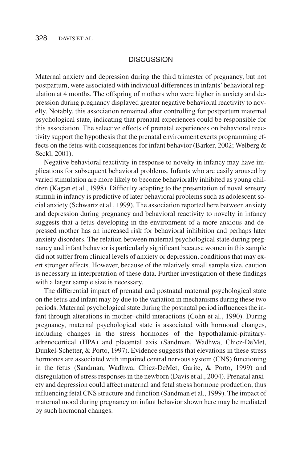#### **DISCUSSION**

Maternal anxiety and depression during the third trimester of pregnancy, but not postpartum, were associated with individual differences in infants' behavioral regulation at 4 months. The offspring of mothers who were higher in anxiety and depression during pregnancy displayed greater negative behavioral reactivity to novelty. Notably, this association remained after controlling for postpartum maternal psychological state, indicating that prenatal experiences could be responsible for this association. The selective effects of prenatal experiences on behavioral reactivity support the hypothesis that the prenatal environment exerts programming effects on the fetus with consequences for infant behavior (Barker, 2002; Welberg & Seckl, 2001).

Negative behavioral reactivity in response to novelty in infancy may have implications for subsequent behavioral problems. Infants who are easily aroused by varied stimulation are more likely to become behaviorally inhibited as young children (Kagan et al., 1998). Difficulty adapting to the presentation of novel sensory stimuli in infancy is predictive of later behavioral problems such as adolescent social anxiety (Schwartz et al., 1999). The association reported here between anxiety and depression during pregnancy and behavioral reactivity to novelty in infancy suggests that a fetus developing in the environment of a more anxious and depressed mother has an increased risk for behavioral inhibition and perhaps later anxiety disorders. The relation between maternal psychological state during pregnancy and infant behavior is particularly significant because women in this sample did not suffer from clinical levels of anxiety or depression, conditions that may exert stronger effects. However, because of the relatively small sample size, caution is necessary in interpretation of these data. Further investigation of these findings with a larger sample size is necessary.

The differential impact of prenatal and postnatal maternal psychological state on the fetus and infant may by due to the variation in mechanisms during these two periods. Maternal psychological state during the postnatal period influences the infant through alterations in mother–child interactions (Cohn et al., 1990). During pregnancy, maternal psychological state is associated with hormonal changes, including changes in the stress hormones of the hypothalamic-pituitaryadrenocortical (HPA) and placental axis (Sandman, Wadhwa, Chicz-DeMet, Dunkel-Schetter, & Porto, 1997). Evidence suggests that elevations in these stress hormones are associated with impaired central nervous system (CNS) functioning in the fetus (Sandman, Wadhwa, Chicz-DeMet, Garite, & Porto, 1999) and disregulation of stress responses in the newborn (Davis et al., 2004). Prenatal anxiety and depression could affect maternal and fetal stress hormone production, thus influencing fetal CNS structure and function (Sandman et al., 1999). The impact of maternal mood during pregnancy on infant behavior shown here may be mediated by such hormonal changes.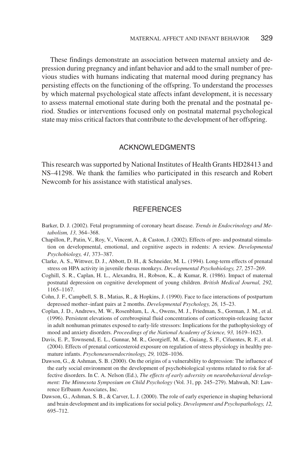These findings demonstrate an association between maternal anxiety and depression during pregnancy and infant behavior and add to the small number of previous studies with humans indicating that maternal mood during pregnancy has persisting effects on the functioning of the offspring. To understand the processes by which maternal psychological state affects infant development, it is necessary to assess maternal emotional state during both the prenatal and the postnatal period. Studies or interventions focused only on postnatal maternal psychological state may miss critical factors that contribute to the development of her offspring.

#### ACKNOWLEDGMENTS

This research was supported by National Institutes of Health Grants HD28413 and NS–41298. We thank the families who participated in this research and Robert Newcomb for his assistance with statistical analyses.

# **REFERENCES**

- Barker, D. J. (2002). Fetal programming of coronary heart disease. *Trends in Endocrinology and Metabolism, 13,* 364–368.
- Chapillon, P., Patin, V., Roy, V., Vincent, A., & Caston, J. (2002). Effects of pre- and postnatal stimulation on developmental, emotional, and cognitive aspects in rodents: A review. *Developmental Psychobiology, 41,* 373–387.
- Clarke, A. S., Wittwer, D. J., Abbott, D. H., & Schneider, M. L. (1994). Long-term effects of prenatal stress on HPA activity in juvenile rhesus monkeys. *Developmental Psychobiology, 27,* 257–269.
- Coghill, S. R., Caplan, H. L., Alexandra, H., Robson, K., & Kumar, R. (1986). Impact of maternal postnatal depression on cognitive development of young children. *British Medical Journal, 292,* 1165–1167.
- Cohn, J. F., Campbell, S. B., Matias, R., & Hopkins, J. (1990). Face to face interactions of postpartum depressed mother–infant pairs at 2 months. *Developmental Psychology, 26,* 15–23.
- Coplan, J. D., Andrews, M. W., Rosenblum, L. A., Owens, M. J., Friedman, S., Gorman, J. M., et al. (1996). Persistent elevations of cerebrospinal fluid concentrations of corticotropin-releasing factor in adult nonhuman primates exposed to early-life stressors: Implications for the pathophysiology of mood and anxiety disorders. *Proceedings of the National Academy of Science, 93,* 1619–1623.
- Davis, E. P., Townsend, E. L., Gunnar, M. R., Georgieff, M. K., Guiang, S. F., Cifuentes, R. F., et al. (2004). Effects of prenatal corticosteroid exposure on regulation of stress physiology in healthy premature infants. *Psychoneuroendocrinology, 29,* 1028–1036.
- Dawson, G., & Ashman, S. B. (2000). On the origins of a vulnerability to depression: The influence of the early social environment on the development of psychobiological systems related to risk for affective disorders. In C. A. Nelson (Ed.), *The effects of early adversity on neurobehavioral development: The Minnesota Symposium on Child Psychology* (Vol. 31, pp. 245–279). Mahwah, NJ: Lawrence Erlbaum Associates, Inc.
- Dawson, G., Ashman, S. B., & Carver, L. J. (2000). The role of early experience in shaping behavioral and brain development and its implications for social policy. *Development and Psychopathology, 12,* 695–712.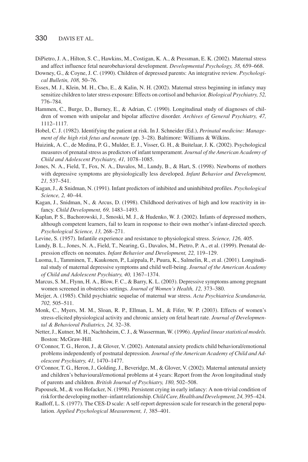- DiPietro, J. A., Hilton, S. C., Hawkins, M., Costigan, K. A., & Pressman, E. K. (2002). Maternal stress and affect influence fetal neurobehavioral development. *Developmental Psychology, 38,* 659–668.
- Downey, G., & Coyne, J. C. (1990). Children of depressed parents: An integrative review. *Psychological Bulletin, 108,* 50–76.
- Essex, M. J., Klein, M. H., Cho, E., & Kalin, N. H. (2002). Maternal stress beginning in infancy may sensitize children to later stress exposure: Effects on cortisol and behavior. *Biological Psychiatry, 52,* 776–784.
- Hammen, C., Burge, D., Burney, E., & Adrian, C. (1990). Longitudinal study of diagnoses of children of women with unipolar and bipolar affective disorder. *Archives of General Psychiatry, 47,* 1112–1117.
- Hobel, C. J. (1982). Identifying the patient at risk. In J. Schneider (Ed.), *Perinatal medicine: Management of the high risk fetus and neonate* (pp. 3–28). Baltimore: Williams & Wilkins.
- Huizink, A. C., de Medina, P. G., Mulder, E. J., Visser, G. H., & Buitelaar, J. K. (2002). Psychological measures of prenatal stress as predictors of infant temperament. *Journal of the American Academy of Child and Adolescent Psychiatry, 41,* 1078–1085.
- Jones, N. A., Field, T., Fox, N. A., Davalos, M., Lundy, B., & Hart, S. (1998). Newborns of mothers with depressive symptoms are physiologically less developed. *Infant Behavior and Development, 21,* 537–541.
- Kagan, J., & Snidman, N. (1991). Infant predictors of inhibited and uninhibited profiles. *Psychological Science, 2,* 40–44.
- Kagan, J., Snidman, N., & Arcus, D. (1998). Childhood derivatives of high and low reactivity in infancy. *Child Development, 69,* 1483–1493.
- Kaplan, P. S., Bachorowski, J., Smoski, M. J., & Hudenko, W. J. (2002). Infants of depressed mothers, although competent learners, fail to learn in response to their own mother's infant-directed speech. *Psychological Science, 13,* 268–271.
- Levine, S. (1957). Infantile experience and resistance to physiological stress. *Science, 126,* 405.
- Lundy, B. L., Jones, N. A., Field, T., Nearing, G., Davalos, M., Pietro, P. A., et al. (1999). Prenatal depression effects on neonates. *Infant Behavior and Development, 22,* 119–129.
- Luoma, I., Tamminen, T., Kaukonen, P., Laippala, P., Puura, K., Salmelin, R., et al. (2001). Longitudinal study of maternal depressive symptoms and child well-being. *Journal of the American Academy of Child and Adolescent Psychiatry, 40,* 1367–1374.
- Marcus, S. M., Flynn, H. A., Blow, F. C., & Barry, K. L. (2003). Depressive symptoms among pregnant women screened in obstetrics settings. *Journal of Women's Health, 12,* 373–380.
- Meijer, A. (1985). Child psychiatric sequelae of maternal war stress. *Acta Psychiatrica Scandanavia, 702,* 505–511.
- Monk, C., Myers, M. M., Sloan, R. P., Ellman, L. M., & Fifer, W. P. (2003). Effects of women's stress-elicited physiological activity and chronic anxiety on fetal heart rate. *Journal of Developmental & Behavioral Pediatrics, 24,* 32–38.
- Netter, J., Kutner, M. H., Nachtsheim, C. J., & Wasserman, W. (1996). *Applied linear statistical models.* Boston: McGraw-Hill.
- O'Connor, T. G., Heron, J., & Glover, V. (2002). Antenatal anxiety predicts child behavioral/emotional problems independently of postnatal depression. *Journal of the American Academy of Child and Adolescent Psychiatry, 41,* 1470–1477.
- O'Connor, T. G., Heron, J., Golding, J., Beveridge, M., & Glover, V. (2002). Maternal antenatal anxiety and children's behavioural/emotional problems at 4 years: Report from the Avon longitudinal study of parents and children. *British Journal of Psychiatry, 180,* 502–508.
- Papousek, M., & von Hofacker, N. (1998). Persistent crying in early infancy: A non-trivial condition of riskforthedevelopingmother–infantrelationship.*ChildCare,HealthandDevelopment,24,*395–424.
- Radloff, L. S. (1977). The CES-D scale: A self-report depression scale for research in the general population. *Applied Psychological Measurement, 1,* 385–401.